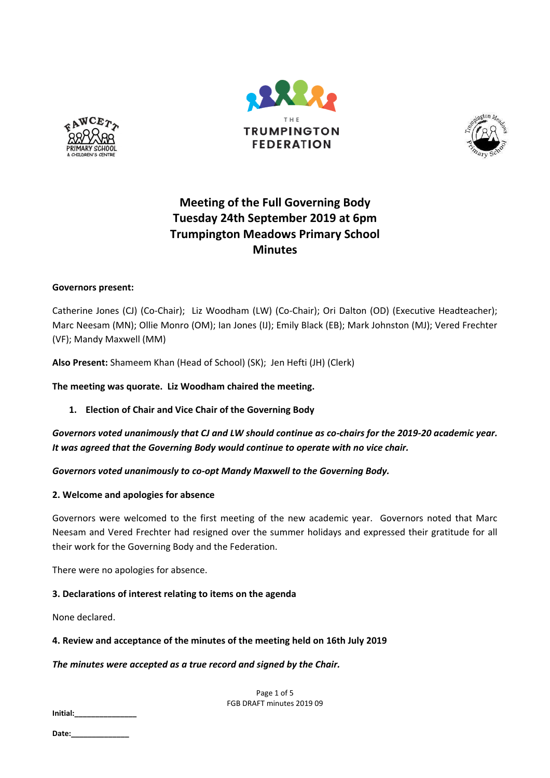





# **Meeting of the Full Governing Body Tuesday 24th September 2019 at 6pm Trumpington Meadows Primary School Minutes**

# **Governors present:**

Catherine Jones (CJ) (Co-Chair); Liz Woodham (LW) (Co-Chair); Ori Dalton (OD) (Executive Headteacher); Marc Neesam (MN); Ollie Monro (OM); Ian Jones (IJ); Emily Black (EB); Mark Johnston (MJ); Vered Frechter (VF); Mandy Maxwell (MM)

**Also Present:** Shameem Khan (Head of School) (SK); Jen Hefti (JH) (Clerk)

**The meeting was quorate. Liz Woodham chaired the meeting.**

**1. Election of Chair and Vice Chair of the Governing Body**

*Governors voted unanimously that CJ and LW should continue as co-chairs for the 2019-20 academic year. It was agreed that the Governing Body would continue to operate with no vice chair.*

*Governors voted unanimously to co-opt Mandy Maxwell to the Governing Body.*

## **2. Welcome and apologies for absence**

Governors were welcomed to the first meeting of the new academic year. Governors noted that Marc Neesam and Vered Frechter had resigned over the summer holidays and expressed their gratitude for all their work for the Governing Body and the Federation.

There were no apologies for absence.

# **3. Declarations of interest relating to items on the agenda**

None declared.

## **4. Review and acceptance of the minutes of the meeting held on 16th July 2019**

## *The minutes were accepted as a true record and signed by the Chair.*

Page 1 of 5 FGB DRAFT minutes 2019 09

**Initial:\_\_\_\_\_\_\_\_\_\_\_\_\_\_\_**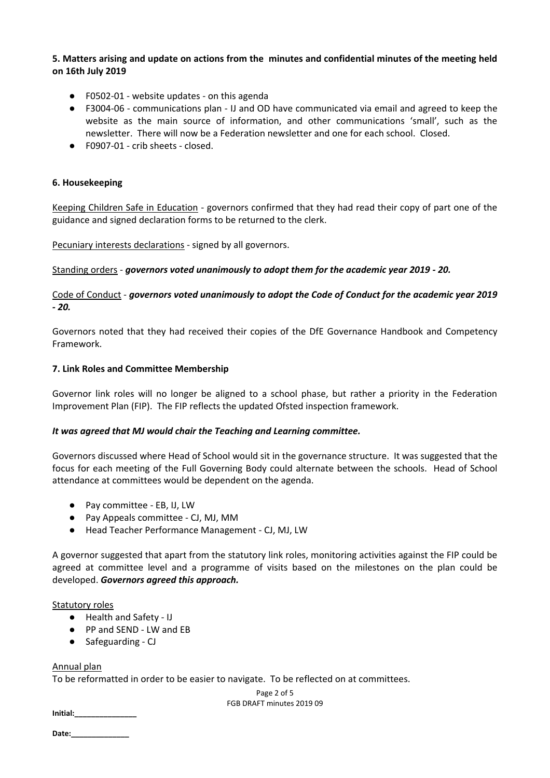# **5. Matters arising and update on actions from the minutes and confidential minutes of the meeting held on 16th July 2019**

- F0502-01 website updates on this agenda
- F3004-06 communications plan IJ and OD have communicated via email and agreed to keep the website as the main source of information, and other communications 'small', such as the newsletter. There will now be a Federation newsletter and one for each school. Closed.
- F0907-01 crib sheets closed.

## **6. Housekeeping**

Keeping Children Safe in Education - governors confirmed that they had read their copy of part one of the guidance and signed declaration forms to be returned to the clerk.

Pecuniary interests declarations - signed by all governors.

Standing orders - *governors voted unanimously to adopt them for the academic year 2019 - 20.*

Code of Conduct - *governors voted unanimously to adopt the Code of Conduct for the academic year 2019 - 20.*

Governors noted that they had received their copies of the DfE Governance Handbook and Competency Framework.

#### **7. Link Roles and Committee Membership**

Governor link roles will no longer be aligned to a school phase, but rather a priority in the Federation Improvement Plan (FIP). The FIP reflects the updated Ofsted inspection framework.

## *It was agreed that MJ would chair the Teaching and Learning committee.*

Governors discussed where Head of School would sit in the governance structure. It was suggested that the focus for each meeting of the Full Governing Body could alternate between the schools. Head of School attendance at committees would be dependent on the agenda.

- Pay committee EB, IJ, LW
- Pay Appeals committee CJ, MJ, MM
- Head Teacher Performance Management CJ, MJ, LW

A governor suggested that apart from the statutory link roles, monitoring activities against the FIP could be agreed at committee level and a programme of visits based on the milestones on the plan could be developed. *Governors agreed this approach.*

#### Statutory roles

- Health and Safety IJ
- PP and SEND LW and EB
- Safeguarding CJ

## Annual plan

To be reformatted in order to be easier to navigate. To be reflected on at committees.

Page 2 of 5 FGB DRAFT minutes 2019 09

**Initial:\_\_\_\_\_\_\_\_\_\_\_\_\_\_\_**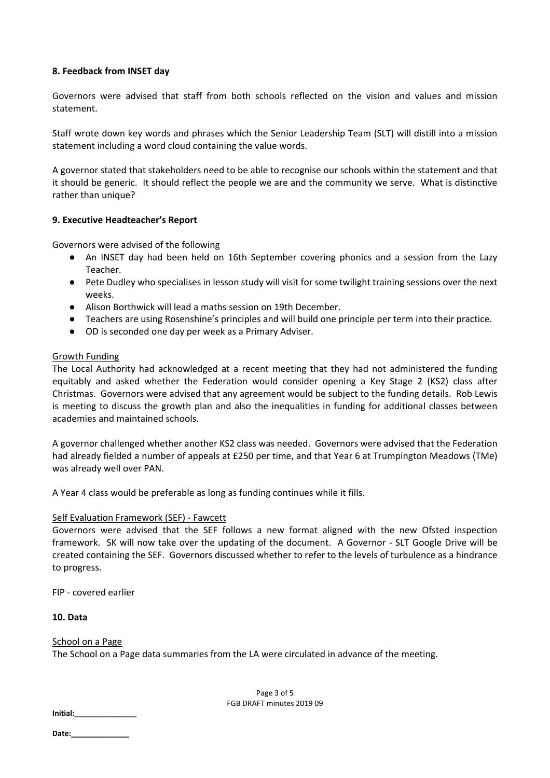## **8. Feedback from INSET day**

Governors were advised that staff from both schools reflected on the vision and values and mission statement.

Staff wrote down key words and phrases which the Senior Leadership Team (SLT) will distill into a mission statement including a word cloud containing the value words.

A governor stated that stakeholders need to be able to recognise our schools within the statement and that it should be generic. It should reflect the people we are and the community we serve. What is distinctive rather than unique?

#### **9. Executive Headteacher's Report**

Governors were advised of the following

- An INSET day had been held on 16th September covering phonics and a session from the Lazy Teacher.
- Pete Dudley who specialises in lesson study will visit for some twilight training sessions over the next weeks.
- Alison Borthwick will lead a maths session on 19th December.
- Teachers are using Rosenshine's principles and will build one principle per term into their practice.
- OD is seconded one day per week as a Primary Adviser.

#### Growth Funding

The Local Authority had acknowledged at a recent meeting that they had not administered the funding equitably and asked whether the Federation would consider opening a Key Stage 2 (KS2) class after Christmas. Governors were advised that any agreement would be subject to the funding details. Rob Lewis is meeting to discuss the growth plan and also the inequalities in funding for additional classes between academies and maintained schools.

A governor challenged whether another KS2 class was needed. Governors were advised that the Federation had already fielded a number of appeals at £250 per time, and that Year 6 at Trumpington Meadows (TMe) was already well over PAN.

A Year 4 class would be preferable as long as funding continues while it fills.

## Self Evaluation Framework (SEF) - Fawcett

Governors were advised that the SEF follows a new format aligned with the new Ofsted inspection framework. SK will now take over the updating of the document. A Governor - SLT Google Drive will be created containing the SEF. Governors discussed whether to refer to the levels of turbulence as a hindrance to progress.

FIP - covered earlier

#### **10. Data**

#### School on a Page

The School on a Page data summaries from the LA were circulated in advance of the meeting.

Page 3 of 5 FGB DRAFT minutes 2019 09

**Initial:\_\_\_\_\_\_\_\_\_\_\_\_\_\_\_**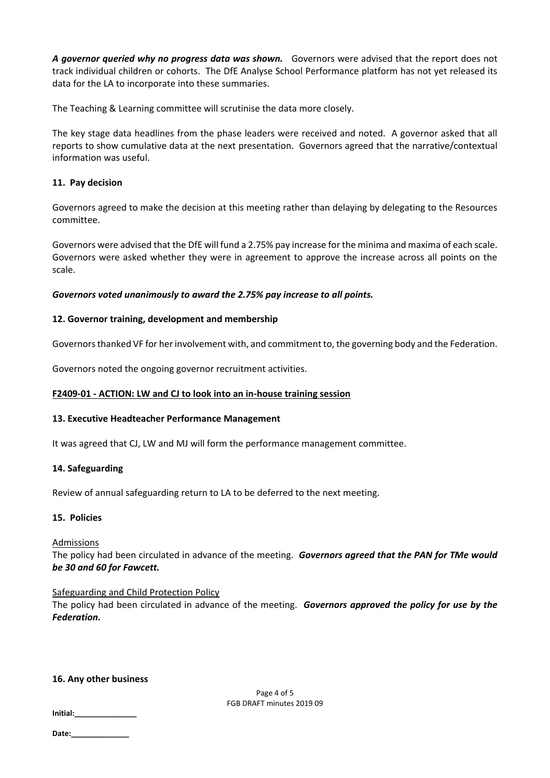*A governor queried why no progress data was shown.* Governors were advised that the report does not track individual children or cohorts. The DfE Analyse School Performance platform has not yet released its data for the LA to incorporate into these summaries.

The Teaching & Learning committee will scrutinise the data more closely.

The key stage data headlines from the phase leaders were received and noted. A governor asked that all reports to show cumulative data at the next presentation. Governors agreed that the narrative/contextual information was useful.

## **11. Pay decision**

Governors agreed to make the decision at this meeting rather than delaying by delegating to the Resources committee.

Governors were advised that the DfE will fund a 2.75% pay increase for the minima and maxima of each scale. Governors were asked whether they were in agreement to approve the increase across all points on the scale.

## *Governors voted unanimously to award the 2.75% pay increase to all points.*

# **12. Governor training, development and membership**

Governors thanked VF for her involvement with, and commitment to, the governing body and the Federation.

Governors noted the ongoing governor recruitment activities.

## **F2409-01 - ACTION: LW and CJ to look into an in-house training session**

## **13. Executive Headteacher Performance Management**

It was agreed that CJ, LW and MJ will form the performance management committee.

## **14. Safeguarding**

Review of annual safeguarding return to LA to be deferred to the next meeting.

## **15. Policies**

## Admissions

The policy had been circulated in advance of the meeting. *Governors agreed that the PAN for TMe would be 30 and 60 for Fawcett.*

## Safeguarding and Child Protection Policy

The policy had been circulated in advance of the meeting. *Governors approved the policy for use by the Federation.*

## **16. Any other business**

Page 4 of 5 FGB DRAFT minutes 2019 09

**Date:\_\_\_\_\_\_\_\_\_\_\_\_\_\_**

**Initial:\_\_\_\_\_\_\_\_\_\_\_\_\_\_\_**